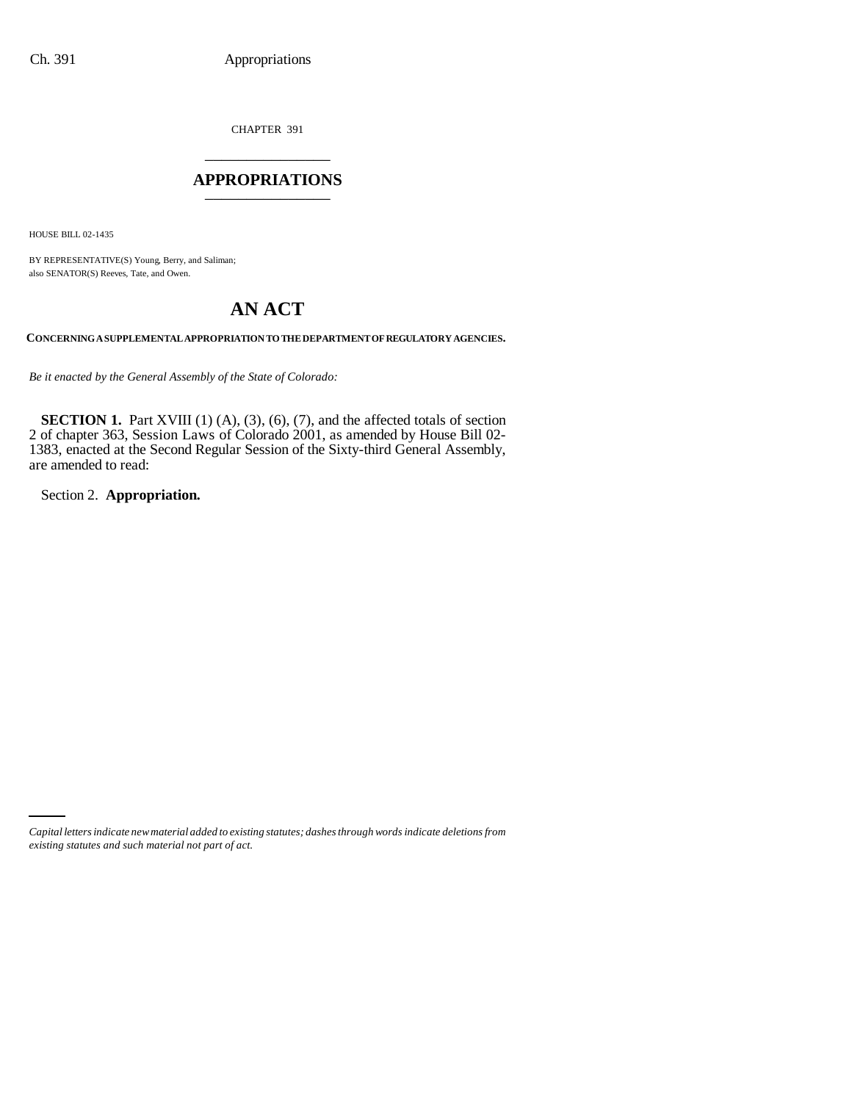CHAPTER 391 \_\_\_\_\_\_\_\_\_\_\_\_\_\_\_

## **APPROPRIATIONS** \_\_\_\_\_\_\_\_\_\_\_\_\_\_\_

HOUSE BILL 02-1435

BY REPRESENTATIVE(S) Young, Berry, and Saliman; also SENATOR(S) Reeves, Tate, and Owen.

# **AN ACT**

**CONCERNING A SUPPLEMENTAL APPROPRIATION TO THE DEPARTMENT OF REGULATORY AGENCIES.**

*Be it enacted by the General Assembly of the State of Colorado:*

**SECTION 1.** Part XVIII (1) (A), (3), (6), (7), and the affected totals of section 2 of chapter 363, Session Laws of Colorado 2001, as amended by House Bill 02- 1383, enacted at the Second Regular Session of the Sixty-third General Assembly, are amended to read:

Section 2. **Appropriation.**

*Capital letters indicate new material added to existing statutes; dashes through words indicate deletions from existing statutes and such material not part of act.*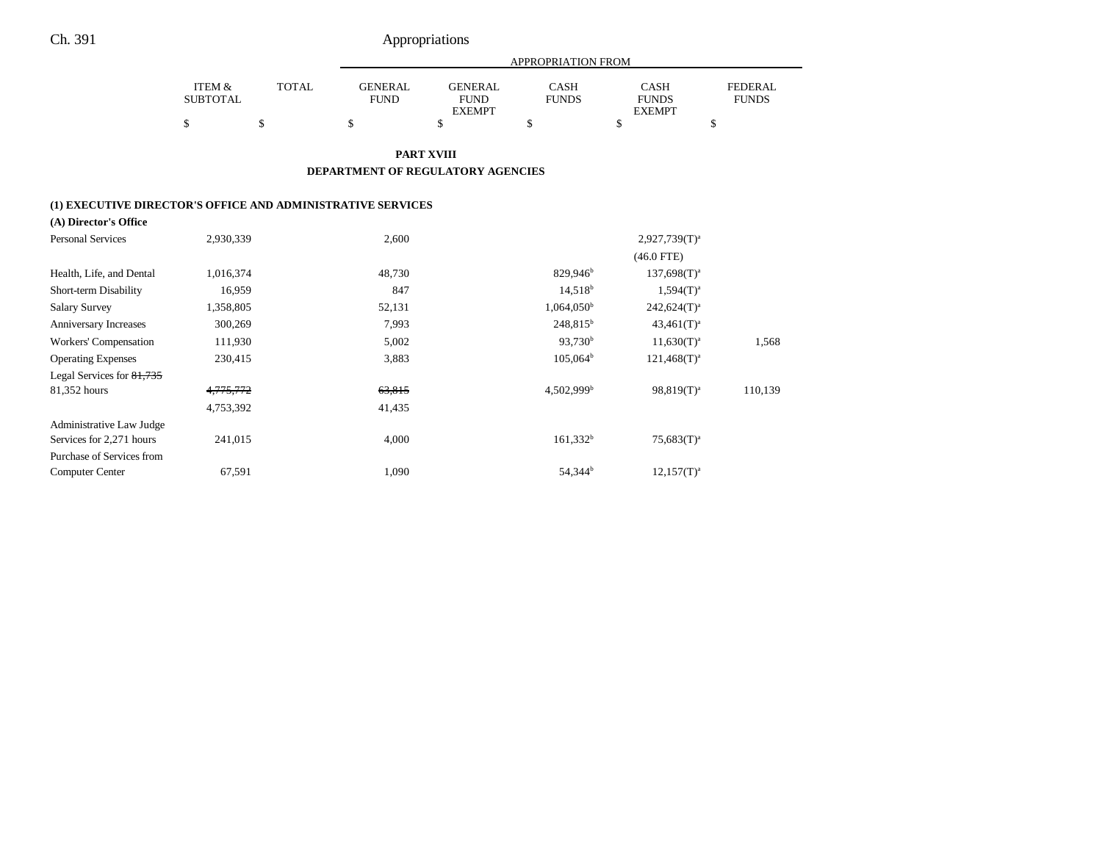Ch. 391 Appropriations

|                                                                                      |                           |              |                               |                                                | APPROPRIATION FROM          |                                              |                                |
|--------------------------------------------------------------------------------------|---------------------------|--------------|-------------------------------|------------------------------------------------|-----------------------------|----------------------------------------------|--------------------------------|
|                                                                                      | ITEM &<br><b>SUBTOTAL</b> | <b>TOTAL</b> | <b>GENERAL</b><br><b>FUND</b> | <b>GENERAL</b><br><b>FUND</b><br><b>EXEMPT</b> | <b>CASH</b><br><b>FUNDS</b> | <b>CASH</b><br><b>FUNDS</b><br><b>EXEMPT</b> | <b>FEDERAL</b><br><b>FUNDS</b> |
|                                                                                      | \$                        | \$           | \$                            | \$                                             | \$                          | \$                                           | \$                             |
|                                                                                      |                           |              |                               | <b>PART XVIII</b>                              |                             |                                              |                                |
|                                                                                      |                           |              |                               | DEPARTMENT OF REGULATORY AGENCIES              |                             |                                              |                                |
|                                                                                      |                           |              |                               |                                                |                             |                                              |                                |
| (1) EXECUTIVE DIRECTOR'S OFFICE AND ADMINISTRATIVE SERVICES<br>(A) Director's Office |                           |              |                               |                                                |                             |                                              |                                |
| <b>Personal Services</b>                                                             | 2,930,339                 |              | 2,600                         |                                                |                             | $2,927,739(T)^a$                             |                                |
|                                                                                      |                           |              |                               |                                                |                             | $(46.0$ FTE)                                 |                                |
| Health, Life, and Dental                                                             | 1,016,374                 |              | 48,730                        |                                                | 829,946 <sup>b</sup>        | $137,698(T)^{a}$                             |                                |
| Short-term Disability                                                                | 16,959                    |              | 847                           |                                                | $14,518^b$                  | $1,594(T)^{a}$                               |                                |
| <b>Salary Survey</b>                                                                 | 1,358,805                 |              | 52,131                        |                                                | $1,064,050^{\rm b}$         | $242,624(T)^a$                               |                                |
| Anniversary Increases                                                                | 300,269                   |              | 7,993                         |                                                | $248,815^b$                 | $43,461(T)^a$                                |                                |
| Workers' Compensation                                                                | 111,930                   |              | 5,002                         |                                                | 93,730 <sup>b</sup>         | $11,630(T)^{a}$                              | 1,568                          |
| <b>Operating Expenses</b>                                                            | 230,415                   |              | 3,883                         |                                                | $105,064^{\rm b}$           | $121,468(T)^{a}$                             |                                |
| Legal Services for 81,735                                                            |                           |              |                               |                                                |                             |                                              |                                |
| 81,352 hours                                                                         | 4,775,772                 |              | 63,815                        |                                                | $4,502,999$ <sup>b</sup>    | 98,819(T) <sup>a</sup>                       | 110,139                        |
|                                                                                      | 4,753,392                 |              | 41,435                        |                                                |                             |                                              |                                |
| Administrative Law Judge                                                             |                           |              |                               |                                                |                             |                                              |                                |
| Services for 2,271 hours                                                             | 241,015                   |              | 4,000                         |                                                | $161,332^b$                 | $75,683(T)^a$                                |                                |
| Purchase of Services from                                                            |                           |              |                               |                                                |                             |                                              |                                |

Computer Center 67,591 67,591 1,090 54,344b 12,157(T)<sup>a</sup>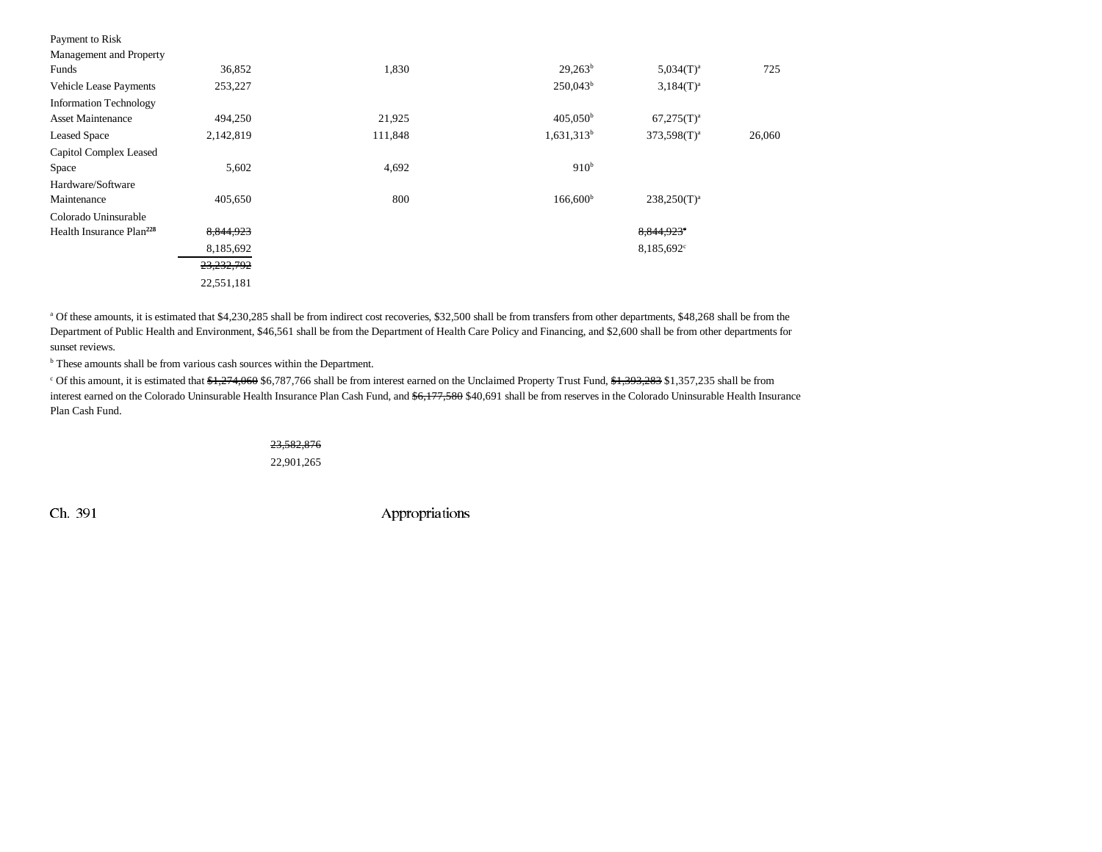| 36,852     | 1,830   | $29.263^b$        | $5.034(T)^a$           | 725    |
|------------|---------|-------------------|------------------------|--------|
| 253,227    |         | $250,043^b$       | $3.184(T)^{a}$         |        |
|            |         |                   |                        |        |
| 494,250    | 21,925  | $405,050^{\rm b}$ | $67,275(T)^a$          |        |
| 2,142,819  | 111,848 | $1,631,313^b$     | $373,598(T)^{a}$       | 26,060 |
|            |         |                   |                        |        |
| 5,602      | 4,692   | 910 <sup>b</sup>  |                        |        |
|            |         |                   |                        |        |
| 405,650    | 800     | $166,600^{\rm b}$ | $238,250(T)^{a}$       |        |
|            |         |                   |                        |        |
| 8,844,923  |         |                   | 8,844,923 <sup>e</sup> |        |
| 8,185,692  |         |                   | 8,185,692 <sup>c</sup> |        |
| 23,232,792 |         |                   |                        |        |
| 22,551,181 |         |                   |                        |        |
|            |         |                   |                        |        |

<sup>a</sup> Of these amounts, it is estimated that \$4,230,285 shall be from indirect cost recoveries, \$32,500 shall be from transfers from other departments, \$48,268 shall be from the Department of Public Health and Environment, \$46,561 shall be from the Department of Health Care Policy and Financing, and \$2,600 shall be from other departments for sunset reviews.

<sup>b</sup> These amounts shall be from various cash sources within the Department.

<sup>c</sup> Of this amount, it is estimated that \$1,274,060 \$6,787,766 shall be from interest earned on the Unclaimed Property Trust Fund, \$1,393,283 \$1,357,235 shall be from interest earned on the Colorado Uninsurable Health Insurance Plan Cash Fund, and  $$6,177,580$  \$40,691 shall be from reserves in the Colorado Uninsurable Health Insurance Plan Cash Fund.

### 23,582,876 22,901,265

Ch. 391 Appropriations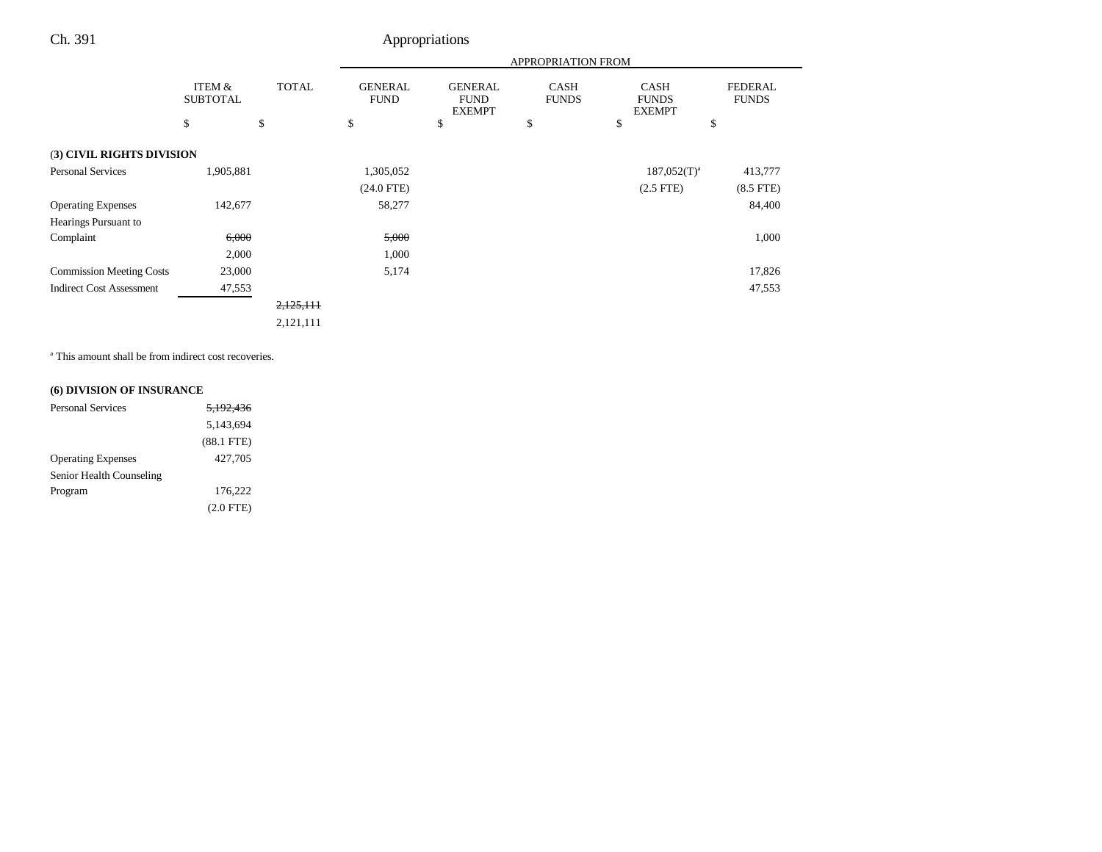## Ch. 391 Appropriations

|                                 |                           |              | APPROPRIATION FROM            |                                                |                             |                                              |                                |
|---------------------------------|---------------------------|--------------|-------------------------------|------------------------------------------------|-----------------------------|----------------------------------------------|--------------------------------|
|                                 | ITEM &<br><b>SUBTOTAL</b> | <b>TOTAL</b> | <b>GENERAL</b><br><b>FUND</b> | <b>GENERAL</b><br><b>FUND</b><br><b>EXEMPT</b> | <b>CASH</b><br><b>FUNDS</b> | <b>CASH</b><br><b>FUNDS</b><br><b>EXEMPT</b> | <b>FEDERAL</b><br><b>FUNDS</b> |
|                                 | \$                        | \$           | \$                            | \$                                             | \$                          | \$                                           | \$                             |
| (3) CIVIL RIGHTS DIVISION       |                           |              |                               |                                                |                             |                                              |                                |
| <b>Personal Services</b>        | 1,905,881                 |              | 1,305,052                     |                                                |                             | $187,052(T)^a$                               | 413,777                        |
|                                 |                           |              | $(24.0$ FTE)                  |                                                |                             | $(2.5$ FTE)                                  | $(8.5$ FTE)                    |
| <b>Operating Expenses</b>       | 142,677                   |              | 58,277                        |                                                |                             |                                              | 84,400                         |
| Hearings Pursuant to            |                           |              |                               |                                                |                             |                                              |                                |
| Complaint                       | 6,000                     |              | 5,000                         |                                                |                             |                                              | 1,000                          |
|                                 | 2,000                     |              | 1,000                         |                                                |                             |                                              |                                |
| <b>Commission Meeting Costs</b> | 23,000                    |              | 5,174                         |                                                |                             |                                              | 17,826                         |
| <b>Indirect Cost Assessment</b> | 47,553                    |              |                               |                                                |                             |                                              | 47,553                         |
|                                 |                           | 2,125,111    |                               |                                                |                             |                                              |                                |
|                                 |                           | 2,121,111    |                               |                                                |                             |                                              |                                |

<sup>a</sup> This amount shall be from indirect cost recoveries.

## **(6) DIVISION OF INSURANCE**

| <b>Personal Services</b>  | 5.192.436       |
|---------------------------|-----------------|
|                           | 5,143,694       |
|                           | $(88.1$ FTE $)$ |
| <b>Operating Expenses</b> | 427,705         |
| Senior Health Counseling  |                 |
| Program                   | 176.222         |
|                           | $(2.0$ FTE)     |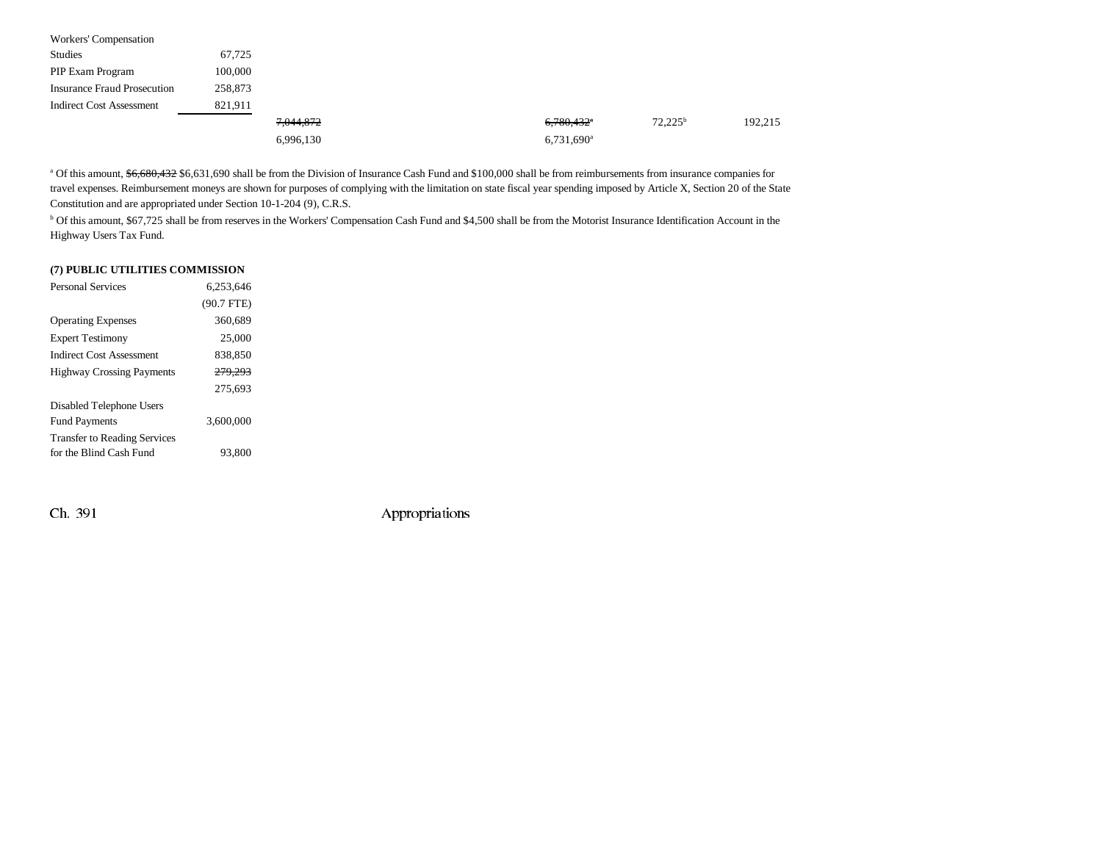| Workers' Compensation              |         |           |                          |                  |         |
|------------------------------------|---------|-----------|--------------------------|------------------|---------|
| Studies                            | 67,725  |           |                          |                  |         |
| PIP Exam Program                   | 100,000 |           |                          |                  |         |
| <b>Insurance Fraud Prosecution</b> | 258,873 |           |                          |                  |         |
| <b>Indirect Cost Assessment</b>    | 821,911 |           |                          |                  |         |
|                                    |         | 7,044,872 | $6,780,432$ *            | $72.225^{\rm b}$ | 192,215 |
|                                    |         | 6,996,130 | $6,731,690$ <sup>a</sup> |                  |         |

<sup>a</sup> Of this amount,  $$6,680,432$$  \$6,631,690 shall be from the Division of Insurance Cash Fund and \$100,000 shall be from reimbursements from insurance companies for travel expenses. Reimbursement moneys are shown for purposes of complying with the limitation on state fiscal year spending imposed by Article X, Section 20 of the State Constitution and are appropriated under Section 10-1-204 (9), C.R.S.

<sup>b</sup> Of this amount, \$67,725 shall be from reserves in the Workers' Compensation Cash Fund and \$4,500 shall be from the Motorist Insurance Identification Account in the Highway Users Tax Fund.

## **(7) PUBLIC UTILITIES COMMISSION**

| <b>Personal Services</b>            | 6.253.646          |  |
|-------------------------------------|--------------------|--|
|                                     | $(90.7$ FTE)       |  |
| <b>Operating Expenses</b>           | 360,689            |  |
| <b>Expert Testimony</b>             | 25,000             |  |
| <b>Indirect Cost Assessment</b>     | 838,850            |  |
| <b>Highway Crossing Payments</b>    | <del>279.293</del> |  |
|                                     | 275.693            |  |
| Disabled Telephone Users            |                    |  |
| <b>Fund Payments</b>                | 3.600.000          |  |
| <b>Transfer to Reading Services</b> |                    |  |
| for the Blind Cash Fund             | 93,800             |  |

Ch. 391 Appropriations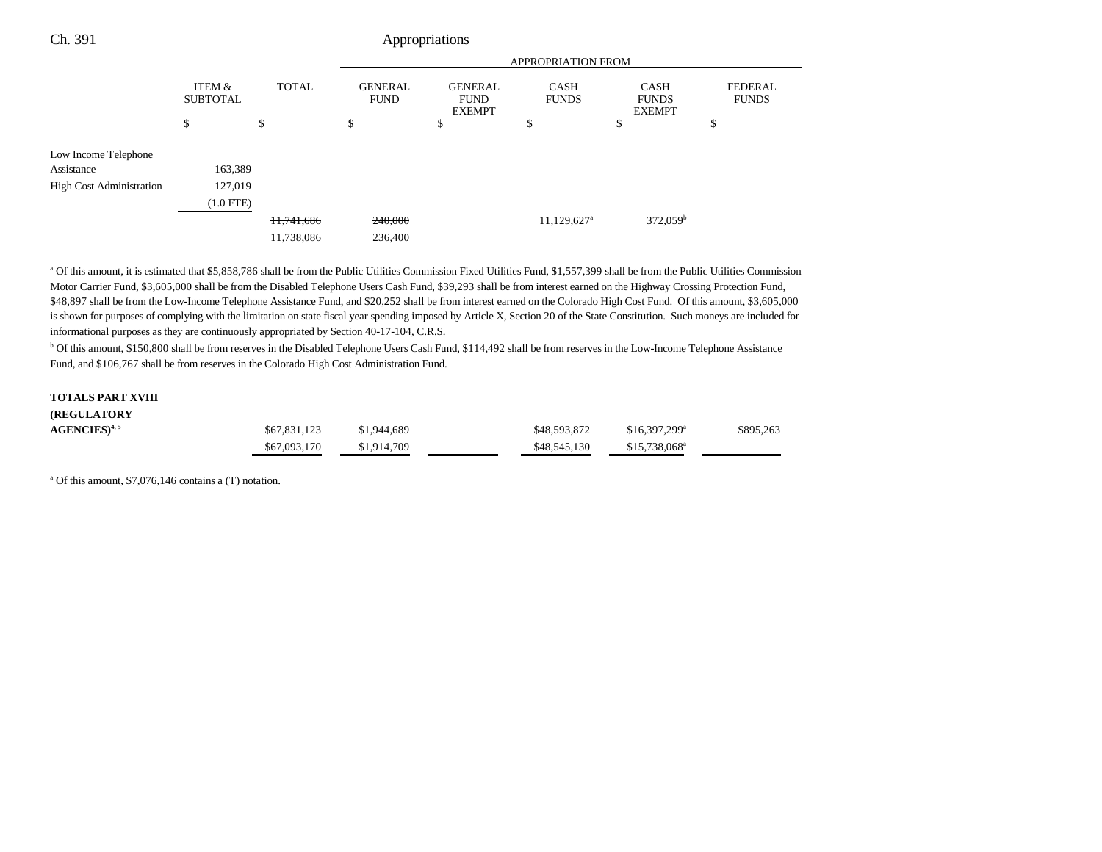| Ch. 391                         |                           |              |                               | Appropriations                                 |                             |                                              |                                |  |
|---------------------------------|---------------------------|--------------|-------------------------------|------------------------------------------------|-----------------------------|----------------------------------------------|--------------------------------|--|
|                                 |                           |              | APPROPRIATION FROM            |                                                |                             |                                              |                                |  |
|                                 | ITEM &<br><b>SUBTOTAL</b> | <b>TOTAL</b> | <b>GENERAL</b><br><b>FUND</b> | <b>GENERAL</b><br><b>FUND</b><br><b>EXEMPT</b> | <b>CASH</b><br><b>FUNDS</b> | <b>CASH</b><br><b>FUNDS</b><br><b>EXEMPT</b> | <b>FEDERAL</b><br><b>FUNDS</b> |  |
|                                 | \$                        | \$           | \$                            | \$                                             | \$                          | \$                                           | \$                             |  |
| Low Income Telephone            |                           |              |                               |                                                |                             |                                              |                                |  |
| Assistance                      | 163,389                   |              |                               |                                                |                             |                                              |                                |  |
| <b>High Cost Administration</b> | 127,019                   |              |                               |                                                |                             |                                              |                                |  |
|                                 | $(1.0$ FTE)               |              |                               |                                                |                             |                                              |                                |  |
|                                 |                           | 11,741,686   | 240,000                       |                                                | 11,129,627 <sup>a</sup>     | $372,059^{\rm b}$                            |                                |  |
|                                 |                           | 11,738,086   | 236,400                       |                                                |                             |                                              |                                |  |
|                                 |                           |              |                               |                                                |                             |                                              |                                |  |

a Of this amount, it is estimated that \$5,858,786 shall be from the Public Utilities Commission Fixed Utilities Fund, \$1,557,399 shall be from the Public Utilities Commission Motor Carrier Fund, \$3,605,000 shall be from the Disabled Telephone Users Cash Fund, \$39,293 shall be from interest earned on the Highway Crossing Protection Fund, \$48,897 shall be from the Low-Income Telephone Assistance Fund, and \$20,252 shall be from interest earned on the Colorado High Cost Fund. Of this amount, \$3,605,000 is shown for purposes of complying with the limitation on state fiscal year spending imposed by Article X, Section 20 of the State Constitution. Such moneys are included for informational purposes as they are continuously appropriated by Section 40-17-104, C.R.S.

b Of this amount, \$150,800 shall be from reserves in the Disabled Telephone Users Cash Fund, \$114,492 shall be from reserves in the Low-Income Telephone Assistance Fund, and \$106,767 shall be from reserves in the Colorado High Cost Administration Fund.

#### **TOTALS PART XVIII**

| <b>(REGULATORY)</b>       |              |             |              |                           |           |
|---------------------------|--------------|-------------|--------------|---------------------------|-----------|
| $AGENCIES$ <sup>4,5</sup> | \$67,831,123 | \$1,944,689 | \$48,593,872 | \$16,397,299 <sup>*</sup> | \$895,263 |
|                           | \$67,093,170 | \$1,914,709 | \$48,545,130 | \$15,738,068 <sup>a</sup> |           |

a Of this amount, \$7,076,146 contains a (T) notation.